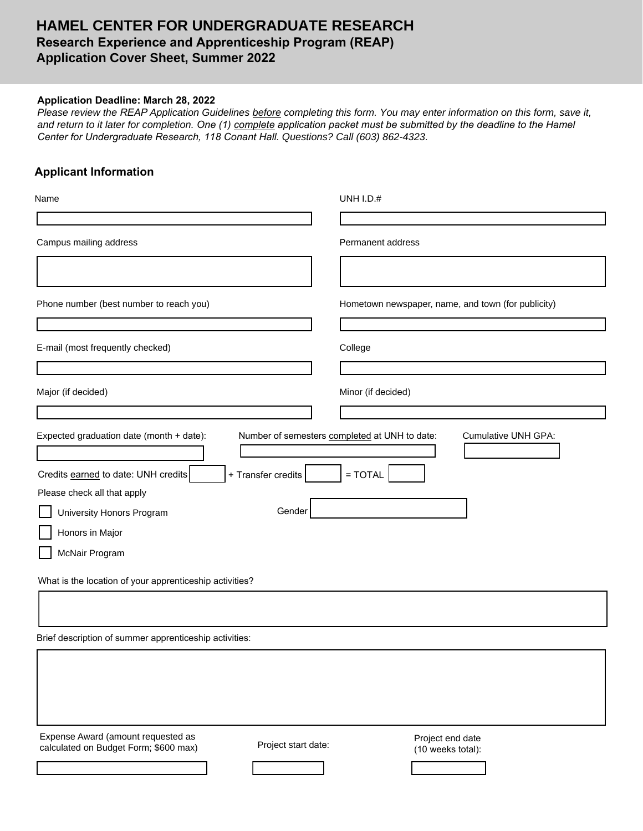## **HAMEL CENTER FOR UNDERGRADUATE RESEARCH Research Experience and Apprenticeship Program (REAP) Application Cover Sheet, Summer 2022**

## **Application Deadline: March 28, 2022**

*Please review the REAP Application Guidelines before completing this form. You may enter information on this form, save it, and return to it later for completion. One (1) complete application packet must be submitted by the deadline to the Hamel Center for Undergraduate Research, 118 Conant Hall. Questions? Call (603) 862-4323.*

## **Applicant Information**

| Name                                                                                               | <b>UNH I.D.#</b>                                                            |  |
|----------------------------------------------------------------------------------------------------|-----------------------------------------------------------------------------|--|
|                                                                                                    |                                                                             |  |
| Campus mailing address                                                                             | Permanent address                                                           |  |
|                                                                                                    |                                                                             |  |
| Phone number (best number to reach you)                                                            | Hometown newspaper, name, and town (for publicity)                          |  |
| E-mail (most frequently checked)                                                                   | College                                                                     |  |
| Major (if decided)                                                                                 | Minor (if decided)                                                          |  |
|                                                                                                    |                                                                             |  |
| Expected graduation date (month + date):                                                           | Number of semesters completed at UNH to date:<br><b>Cumulative UNH GPA:</b> |  |
| + Transfer credits<br>Credits earned to date: UNH credits                                          | $=$ TOTAL                                                                   |  |
| Please check all that apply                                                                        |                                                                             |  |
| Gender<br>University Honors Program                                                                |                                                                             |  |
| Honors in Major                                                                                    |                                                                             |  |
| McNair Program                                                                                     |                                                                             |  |
| What is the location of your apprenticeship activities?                                            |                                                                             |  |
|                                                                                                    |                                                                             |  |
| Brief description of summer apprenticeship activities:                                             |                                                                             |  |
|                                                                                                    |                                                                             |  |
|                                                                                                    |                                                                             |  |
|                                                                                                    |                                                                             |  |
| Expense Award (amount requested as<br>Project start date:<br>calculated on Budget Form; \$600 max) | Project end date<br>(10 weeks total):                                       |  |
|                                                                                                    |                                                                             |  |